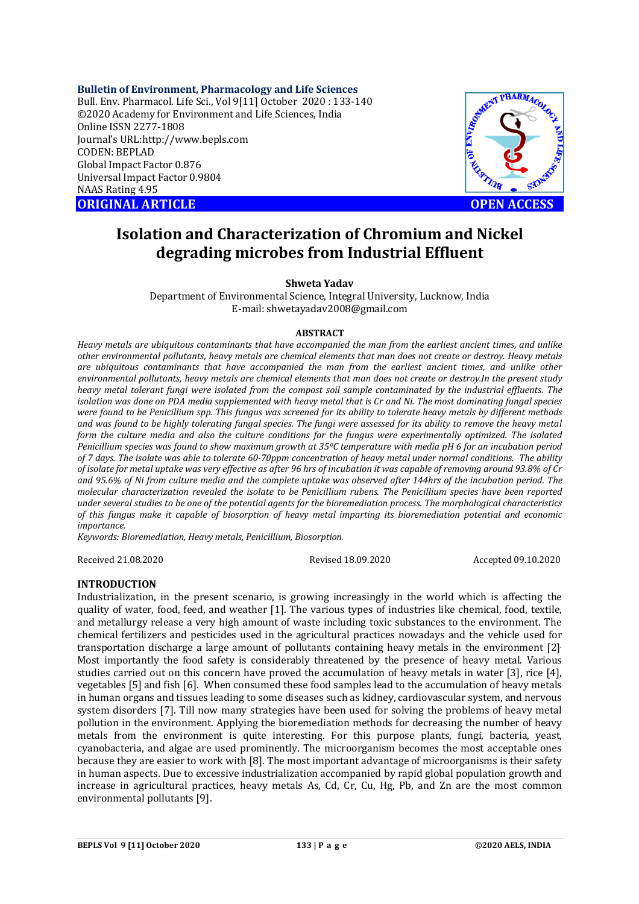## **Bulletin of Environment, Pharmacology and Life Sciences**

Bull. Env. Pharmacol. Life Sci., Vol 9[11] October 2020 : 133-140 ©2020 Academy for Environment and Life Sciences, India Online ISSN 2277-1808 Journal's URL:<http://www.bepls.com> CODEN: BEPLAD Global Impact Factor 0.876 Universal Impact Factor 0.9804 NAAS Rating 4.95 **ORIGINAL ARTICLE OPEN ACCESS** 



# **Isolation and Characterization of Chromium and Nickel degrading microbes from Industrial Effluent**

#### **Shweta Yadav**

Department of Environmental Science, Integral University, Lucknow, India E-mail: [shwetayadav2008@gmail.com](mailto:shwetayadav2008@gmail.com)

#### **ABSTRACT**

*Heavy metals are ubiquitous contaminants that have accompanied the man from the earliest ancient times, and unlike other environmental pollutants, heavy metals are chemical elements that man does not create or destroy. Heavy metals are ubiquitous contaminants that have accompanied the man from the earliest ancient times, and unlike other environmental pollutants, heavy metals are chemical elements that man does not create or destroy.In the present study heavy metal tolerant fungi were isolated from the compost soil sample contaminated by the industrial effluents. The isolation was done on PDA media supplemented with heavy metal that is Cr and Ni. The most dominating fungal species were found to be Penicillium spp. This fungus was screened for its ability to tolerate heavy metals by different methods and was found to be highly tolerating fungal species. The fungi were assessed for its ability to remove the heavy metal*  form the culture media and also the culture conditions for the fungus were experimentally optimized. The isolated *Penicillium species was found to show maximum growth at 35ºC temperature with media pH 6 for an incubation period of 7 days. The isolate was able to tolerate 60-70ppm concentration of heavy metal under normal conditions. The ability of isolate for metal uptake was very effective as after 96 hrs of incubation it was capable of removing around 93.8% of Cr and 95.6% of Ni from culture media and the complete uptake was observed after 144hrs of the incubation period. The molecular characterization revealed the isolate to be Penicillium rubens. The Penicillium species have been reported under several studies to be one of the potential agents for the bioremediation process. The morphological characteristics of this fungus make it capable of biosorption of heavy metal imparting its bioremediation potential and economic importance.* 

*Keywords: Bioremediation, Heavy metals, Penicillium, Biosorption.*

Received 21.08.2020 Revised 18.09.2020 Accepted 09.10.2020

#### **INTRODUCTION**

Industrialization, in the present scenario, is growing increasingly in the world which is affecting the quality of water, food, feed, and weather [1]. The various types of industries like chemical, food, textile, and metallurgy release a very high amount of waste including toxic substances to the environment. The chemical fertilizers and pesticides used in the agricultural practices nowadays and the vehicle used for transportation discharge a large amount of pollutants containing heavy metals in the environment [2]. Most importantly the food safety is considerably threatened by the presence of heavy metal. Various studies carried out on this concern have proved the accumulation of heavy metals in water [3], rice [4], vegetables [5] and fish [6]. When consumed these food samples lead to the accumulation of heavy metals in human organs and tissues leading to some diseases such as kidney, cardiovascular system, and nervous system disorders [7]. Till now many strategies have been used for solving the problems of heavy metal pollution in the environment. Applying the bioremediation methods for decreasing the number of heavy metals from the environment is quite interesting. For this purpose plants, fungi, bacteria, yeast, cyanobacteria, and algae are used prominently. The microorganism becomes the most acceptable ones because they are easier to work with [8]. The most important advantage of microorganisms is their safety in human aspects. Due to excessive industrialization accompanied by rapid global population growth and increase in agricultural practices, heavy metals As, Cd, Cr, Cu, Hg, Pb, and Zn are the most common environmental pollutants [9].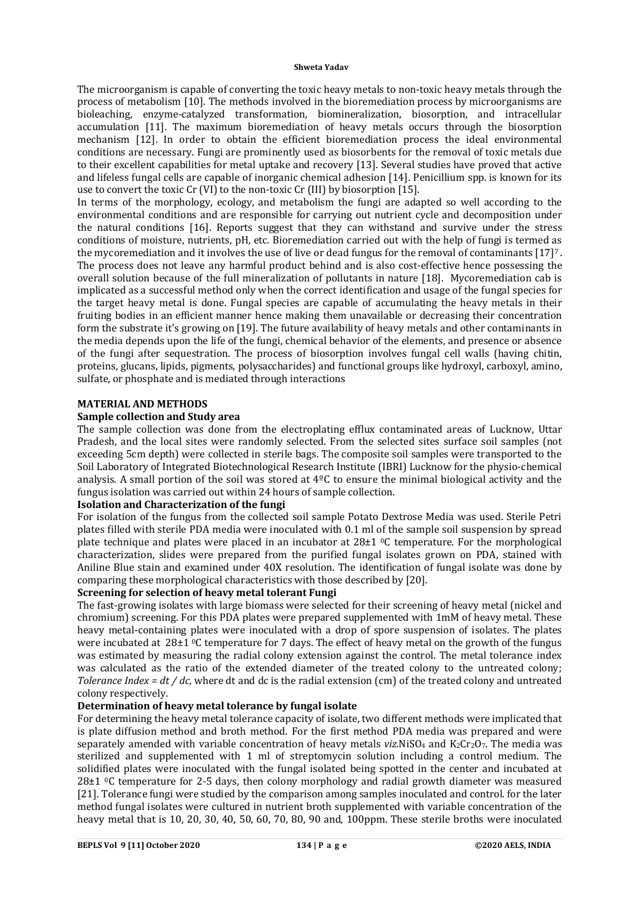The microorganism is capable of converting the toxic heavy metals to non-toxic heavy metals through the process of metabolism [10]. The methods involved in the bioremediation process by microorganisms are bioleaching, enzyme-catalyzed transformation, biomineralization, biosorption, and intracellular accumulation [11]. The maximum bioremediation of heavy metals occurs through the biosorption mechanism [12]. In order to obtain the efficient bioremediation process the ideal environmental conditions are necessary. Fungi are prominently used as biosorbents for the removal of toxic metals due to their excellent capabilities for metal uptake and recovery [13]. Several studies have proved that active and lifeless fungal cells are capable of inorganic chemical adhesion [14]. Penicillium spp. is known for its use to convert the toxic Cr (VI) to the non-toxic Cr (III) by biosorption [15].

In terms of the morphology, ecology, and metabolism the fungi are adapted so well according to the environmental conditions and are responsible for carrying out nutrient cycle and decomposition under the natural conditions [16]. Reports suggest that they can withstand and survive under the stress conditions of moisture, nutrients, pH, etc. Bioremediation carried out with the help of fungi is termed as the mycoremediation and it involves the use of live or dead fungus for the removal of contaminants [17]<sup>7</sup> . The process does not leave any harmful product behind and is also cost-effective hence possessing the overall solution because of the full mineralization of pollutants in nature [18]. Mycoremediation cab is implicated as a successful method only when the correct identification and usage of the fungal species for the target heavy metal is done. Fungal species are capable of accumulating the heavy metals in their fruiting bodies in an efficient manner hence making them unavailable or decreasing their concentration form the substrate it's growing on [19]. The future availability of heavy metals and other contaminants in the media depends upon the life of the fungi, chemical behavior of the elements, and presence or absence of the fungi after sequestration. The process of biosorption involves fungal cell walls (having chitin, proteins, glucans, lipids, pigments, polysaccharides) and functional groups like hydroxyl, carboxyl, amino, sulfate, or phosphate and is mediated through interactions

### **MATERIAL AND METHODS**

# **Sample collection and Study area**

The sample collection was done from the electroplating efflux contaminated areas of Lucknow, Uttar Pradesh, and the local sites were randomly selected. From the selected sites surface soil samples (not exceeding 5cm depth) were collected in sterile bags. The composite soil samples were transported to the Soil Laboratory of Integrated Biotechnological Research Institute (IBRI) Lucknow for the physio-chemical analysis. A small portion of the soil was stored at  $4^{\circ}C$  to ensure the minimal biological activity and the fungus isolation was carried out within 24 hours of sample collection.

# **Isolation and Characterization of the fungi**

For isolation of the fungus from the collected soil sample Potato Dextrose Media was used. Sterile Petri plates filled with sterile PDA media were inoculated with 0.1 ml of the sample soil suspension by spread plate technique and plates were placed in an incubator at  $28\pm1$  °C temperature. For the morphological characterization, slides were prepared from the purified fungal isolates grown on PDA, stained with Aniline Blue stain and examined under 40X resolution. The identification of fungal isolate was done by comparing these morphological characteristics with those described by [20].

## **Screening for selection of heavy metal tolerant Fungi**

The fast-growing isolates with large biomass were selected for their screening of heavy metal (nickel and chromium) screening. For this PDA plates were prepared supplemented with 1mM of heavy metal. These heavy metal-containing plates were inoculated with a drop of spore suspension of isolates. The plates were incubated at 28±1 <sup>o</sup>C temperature for 7 days. The effect of heavy metal on the growth of the fungus was estimated by measuring the radial colony extension against the control. The metal tolerance index was calculated as the ratio of the extended diameter of the treated colony to the untreated colony; *Tolerance Index = dt / dc*, where dt and dc is the radial extension (cm) of the treated colony and untreated colony respectively.

# **Determination of heavy metal tolerance by fungal isolate**

For determining the heavy metal tolerance capacity of isolate, two different methods were implicated that is plate diffusion method and broth method. For the first method PDA media was prepared and were separately amended with variable concentration of heavy metals *viz.NiSO<sub>4</sub>* and K<sub>2</sub>Cr<sub>2</sub>O<sub>7</sub>. The media was sterilized and supplemented with 1 ml of streptomycin solution including a control medium. The solidified plates were inoculated with the fungal isolated being spotted in the center and incubated at 28±1 0C temperature for 2-5 days, then colony morphology and radial growth diameter was measured [21]. Tolerance fungi were studied by the comparison among samples inoculated and control. for the later method fungal isolates were cultured in nutrient broth supplemented with variable concentration of the heavy metal that is 10, 20, 30, 40, 50, 60, 70, 80, 90 and, 100ppm. These sterile broths were inoculated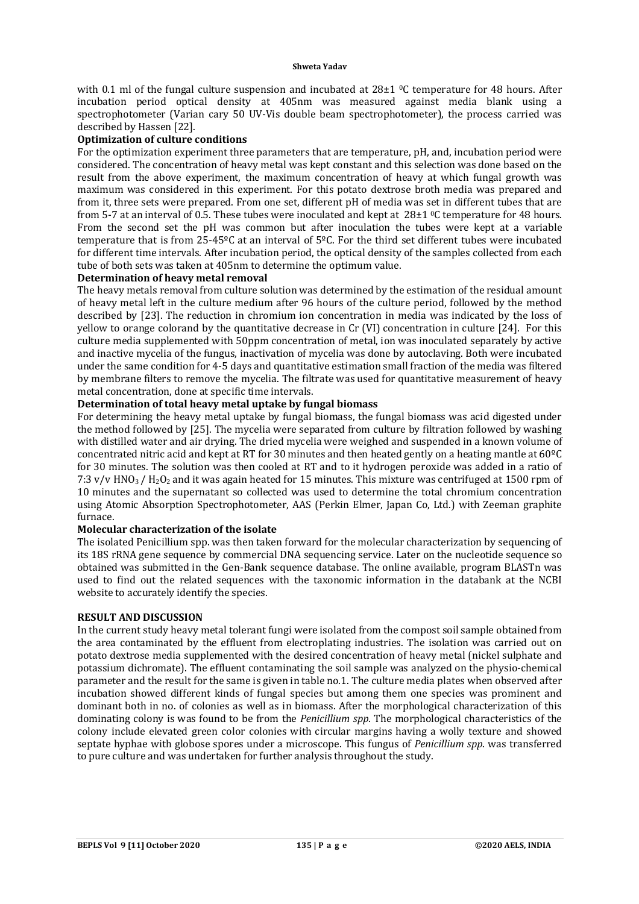with 0.1 ml of the fungal culture suspension and incubated at  $28\pm1$  °C temperature for 48 hours. After incubation period optical density at 405nm was measured against media blank using a spectrophotometer (Varian cary 50 UV-Vis double beam spectrophotometer), the process carried was described by Hassen [22].

# **Optimization of culture conditions**

For the optimization experiment three parameters that are temperature, pH, and, incubation period were considered. The concentration of heavy metal was kept constant and this selection was done based on the result from the above experiment, the maximum concentration of heavy at which fungal growth was maximum was considered in this experiment. For this potato dextrose broth media was prepared and from it, three sets were prepared. From one set, different pH of media was set in different tubes that are from 5-7 at an interval of 0.5. These tubes were inoculated and kept at  $28\pm1$  °C temperature for 48 hours. From the second set the pH was common but after inoculation the tubes were kept at a variable temperature that is from 25-45ºC at an interval of 5ºC. For the third set different tubes were incubated for different time intervals. After incubation period, the optical density of the samples collected from each tube of both sets was taken at 405nm to determine the optimum value.

### **Determination of heavy metal removal**

The heavy metals removal from culture solution was determined by the estimation of the residual amount of heavy metal left in the culture medium after 96 hours of the culture period, followed by the method described by [23]. The reduction in chromium ion concentration in media was indicated by the loss of yellow to orange colorand by the quantitative decrease in Cr (VI) concentration in culture [24]. For this culture media supplemented with 50ppm concentration of metal, ion was inoculated separately by active and inactive mycelia of the fungus, inactivation of mycelia was done by autoclaving. Both were incubated under the same condition for 4-5 days and quantitative estimation small fraction of the media was filtered by membrane filters to remove the mycelia. The filtrate was used for quantitative measurement of heavy metal concentration, done at specific time intervals.

### **Determination of total heavy metal uptake by fungal biomass**

For determining the heavy metal uptake by fungal biomass, the fungal biomass was acid digested under the method followed by [25]. The mycelia were separated from culture by filtration followed by washing with distilled water and air drying. The dried mycelia were weighed and suspended in a known volume of concentrated nitric acid and kept at RT for 30 minutes and then heated gently on a heating mantle at 60ºC for 30 minutes. The solution was then cooled at RT and to it hydrogen peroxide was added in a ratio of  $7:3$  v/v HNO<sub>3</sub> / H<sub>2</sub>O<sub>2</sub> and it was again heated for 15 minutes. This mixture was centrifuged at 1500 rpm of 10 minutes and the supernatant so collected was used to determine the total chromium concentration using Atomic Absorption Spectrophotometer, AAS (Perkin Elmer, Japan Co, Ltd.) with Zeeman graphite furnace.

#### **Molecular characterization of the isolate**

The isolated Penicillium spp. was then taken forward for the molecular characterization by sequencing of its 18S rRNA gene sequence by commercial DNA sequencing service. Later on the nucleotide sequence so obtained was submitted in the Gen-Bank sequence database. The online available, program BLASTn was used to find out the related sequences with the taxonomic information in the databank at the NCBI website to accurately identify the species.

#### **RESULT AND DISCUSSION**

In the current study heavy metal tolerant fungi were isolated from the compost soil sample obtained from the area contaminated by the effluent from electroplating industries. The isolation was carried out on potato dextrose media supplemented with the desired concentration of heavy metal (nickel sulphate and potassium dichromate). The effluent contaminating the soil sample was analyzed on the physio-chemical parameter and the result for the same is given in table no.1. The culture media plates when observed after incubation showed different kinds of fungal species but among them one species was prominent and dominant both in no. of colonies as well as in biomass. After the morphological characterization of this dominating colony is was found to be from the *Penicillium spp*. The morphological characteristics of the colony include elevated green color colonies with circular margins having a wolly texture and showed septate hyphae with globose spores under a microscope. This fungus of *Penicillium spp*. was transferred to pure culture and was undertaken for further analysis throughout the study.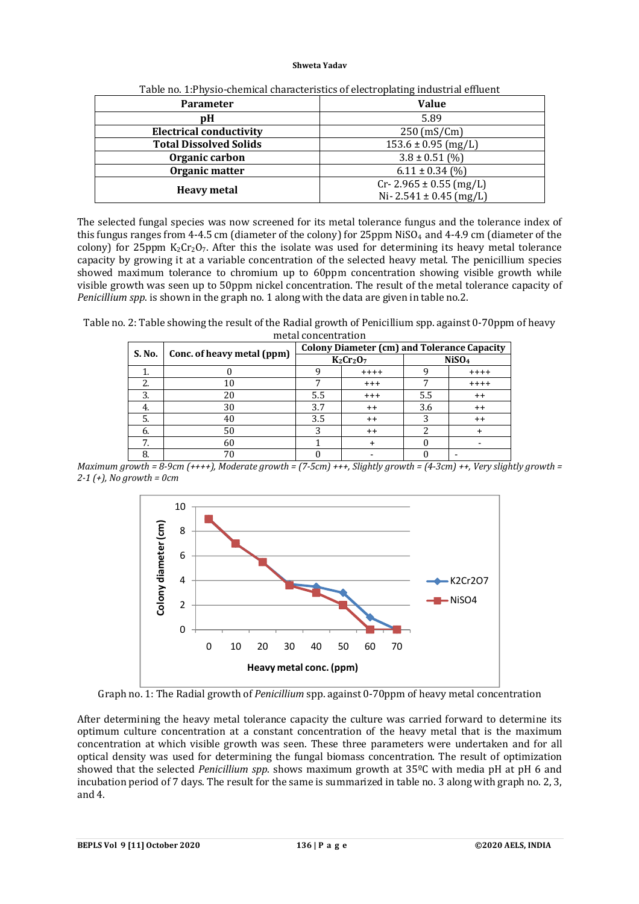| <b>Parameter</b>               | <b>Value</b>                 |  |  |
|--------------------------------|------------------------------|--|--|
| pH                             | 5.89                         |  |  |
| <b>Electrical conductivity</b> | $250$ (mS/Cm)                |  |  |
| <b>Total Dissolved Solids</b>  | $153.6 \pm 0.95$ (mg/L)      |  |  |
| Organic carbon                 | $3.8 \pm 0.51$ (%)           |  |  |
| Organic matter                 | $6.11 \pm 0.34$ (%)          |  |  |
| <b>Heavy metal</b>             | $Cr - 2.965 \pm 0.55$ (mg/L) |  |  |
|                                | Ni- 2.541 $\pm$ 0.45 (mg/L)  |  |  |

Table no. 1:Physio-chemical characteristics of electroplating industrial effluent

The selected fungal species was now screened for its metal tolerance fungus and the tolerance index of this fungus ranges from 4-4.5 cm (diameter of the colony) for 25ppm NiSO4 and 4-4.9 cm (diameter of the colony) for 25ppm  $K_2Cr_2O_7$ . After this the isolate was used for determining its heavy metal tolerance capacity by growing it at a variable concentration of the selected heavy metal. The penicillium species showed maximum tolerance to chromium up to 60ppm concentration showing visible growth while visible growth was seen up to 50ppm nickel concentration. The result of the metal tolerance capacity of *Penicillium spp*. is shown in the graph no. 1 along with the data are given in table no.2.

Table no. 2: Table showing the result of the Radial growth of Penicillium spp. against 0-70ppm of heavy metal concentration

|        |                            | <b>Colony Diameter (cm) and Tolerance Capacity</b> |                 |                   |         |
|--------|----------------------------|----------------------------------------------------|-----------------|-------------------|---------|
| S. No. | Conc. of heavy metal (ppm) | $K_2Cr_2O_7$                                       |                 | NiSO <sub>4</sub> |         |
|        |                            |                                                    | $+++++$         |                   | $+++++$ |
| 2.     | 10                         |                                                    | $^{+++}$        |                   | $+++++$ |
| 3.     | 20                         | 5.5                                                | $^{+++}$        | 5.5               | $^{++}$ |
| 4.     | 30                         | 3.7                                                | $^{++}$         | 3.6               | $^{++}$ |
| 5.     | 40                         | 3.5                                                | $^{++}$         |                   | $++$    |
| 6.     | 50                         |                                                    | $^{\mathrm{+}}$ |                   |         |
| 7.     | 60                         |                                                    |                 |                   |         |
| 8.     | 70                         |                                                    |                 |                   |         |

*Maximum growth = 8-9cm (++++), Moderate growth = (7-5cm) +++, Slightly growth = (4-3cm) ++, Very slightly growth = 2-1 (+), No growth = 0cm*



Graph no. 1: The Radial growth of *Penicillium* spp. against 0-70ppm of heavy metal concentration

After determining the heavy metal tolerance capacity the culture was carried forward to determine its optimum culture concentration at a constant concentration of the heavy metal that is the maximum concentration at which visible growth was seen. These three parameters were undertaken and for all optical density was used for determining the fungal biomass concentration. The result of optimization showed that the selected *Penicillium spp*. shows maximum growth at 35ºC with media pH at pH 6 and incubation period of 7 days. The result for the same is summarized in table no. 3 along with graph no. 2, 3, and 4.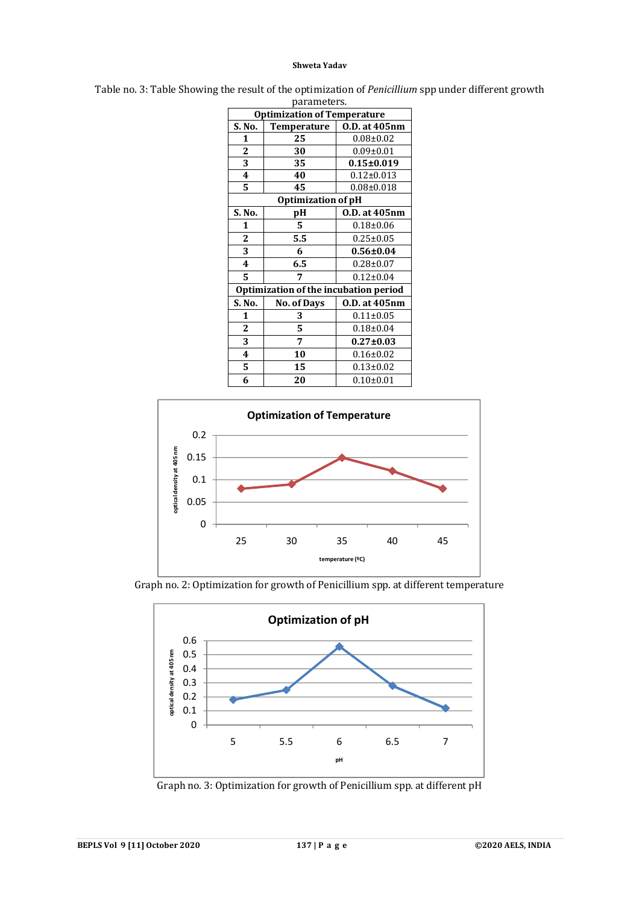| parameters.                           |                    |                  |  |  |  |  |
|---------------------------------------|--------------------|------------------|--|--|--|--|
| <b>Optimization of Temperature</b>    |                    |                  |  |  |  |  |
| S. No.                                | <b>Temperature</b> | 0.D. at 405nm    |  |  |  |  |
| 1                                     | 25                 | $0.08 + 0.02$    |  |  |  |  |
| 2                                     | 30                 | $0.09 \pm 0.01$  |  |  |  |  |
| 3                                     | 35                 | $0.15 \pm 0.019$ |  |  |  |  |
| $\overline{\mathbf{4}}$               | 40                 | $0.12 \pm 0.013$ |  |  |  |  |
| 5                                     | 45                 | $0.08 + 0.018$   |  |  |  |  |
| <b>Optimization of pH</b>             |                    |                  |  |  |  |  |
| S. No.                                | pН                 | 0.D. at 405nm    |  |  |  |  |
| 1                                     | 5.                 | $0.18 \pm 0.06$  |  |  |  |  |
| 2                                     | 5.5                | $0.25 \pm 0.05$  |  |  |  |  |
| 3                                     | 6                  | $0.56 \pm 0.04$  |  |  |  |  |
| $\overline{\mathbf{4}}$               | 6.5                | $0.28 \pm 0.07$  |  |  |  |  |
| 5                                     | 7                  | $0.12 \pm 0.04$  |  |  |  |  |
| Optimization of the incubation period |                    |                  |  |  |  |  |
| S. No.                                | <b>No. of Days</b> | 0.D. at 405nm    |  |  |  |  |
| 1                                     | 3                  | $0.11 \pm 0.05$  |  |  |  |  |
| 2                                     | 5                  | $0.18 \pm 0.04$  |  |  |  |  |
| 3                                     | 7                  | $0.27 \pm 0.03$  |  |  |  |  |
| 4                                     | 10                 | $0.16 \pm 0.02$  |  |  |  |  |
| 5                                     | 15                 | $0.13 \pm 0.02$  |  |  |  |  |
| 6                                     | 20                 | $0.10 + 0.01$    |  |  |  |  |

Table no. 3: Table Showing the result of the optimization of *Penicillium* spp under different growth



Graph no. 2: Optimization for growth of Penicillium spp. at different temperature



Graph no. 3: Optimization for growth of Penicillium spp. at different pH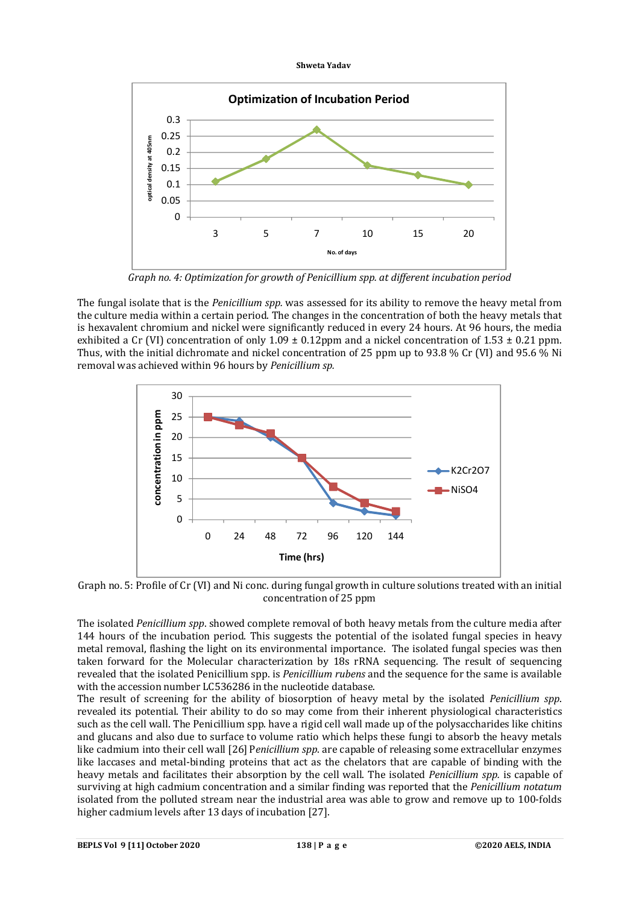



*Graph no. 4: Optimization for growth of Penicillium spp. at different incubation period*

The fungal isolate that is the *Penicillium spp.* was assessed for its ability to remove the heavy metal from the culture media within a certain period. The changes in the concentration of both the heavy metals that is hexavalent chromium and nickel were significantly reduced in every 24 hours. At 96 hours, the media exhibited a Cr (VI) concentration of only  $1.09 \pm 0.12$  ppm and a nickel concentration of  $1.53 \pm 0.21$  ppm. Thus, with the initial dichromate and nickel concentration of 25 ppm up to 93.8 % Cr (VI) and 95.6 % Ni removal was achieved within 96 hours by *Penicillium sp.*



Graph no. 5: Profile of Cr (VI) and Ni conc. during fungal growth in culture solutions treated with an initial concentration of 25 ppm

The isolated *Penicillium spp*. showed complete removal of both heavy metals from the culture media after 144 hours of the incubation period. This suggests the potential of the isolated fungal species in heavy metal removal, flashing the light on its environmental importance. The isolated fungal species was then taken forward for the Molecular characterization by 18s rRNA sequencing. The result of sequencing revealed that the isolated Penicillium spp. is *Penicillium rubens* and the sequence for the same is available with the accession number LC536286 in the nucleotide database.

The result of screening for the ability of biosorption of heavy metal by the isolated *Penicillium spp*. revealed its potential. Their ability to do so may come from their inherent physiological characteristics such as the cell wall. The Penicillium spp. have a rigid cell wall made up of the polysaccharides like chitins and glucans and also due to surface to volume ratio which helps these fungi to absorb the heavy metals like cadmium into their cell wall [26] P*enicillium spp*. are capable of releasing some extracellular enzymes like laccases and metal-binding proteins that act as the chelators that are capable of binding with the heavy metals and facilitates their absorption by the cell wall. The isolated *Penicillium spp.* is capable of surviving at high cadmium concentration and a similar finding was reported that the *Penicillium notatum* isolated from the polluted stream near the industrial area was able to grow and remove up to 100-folds higher cadmium levels after 13 days of incubation [27].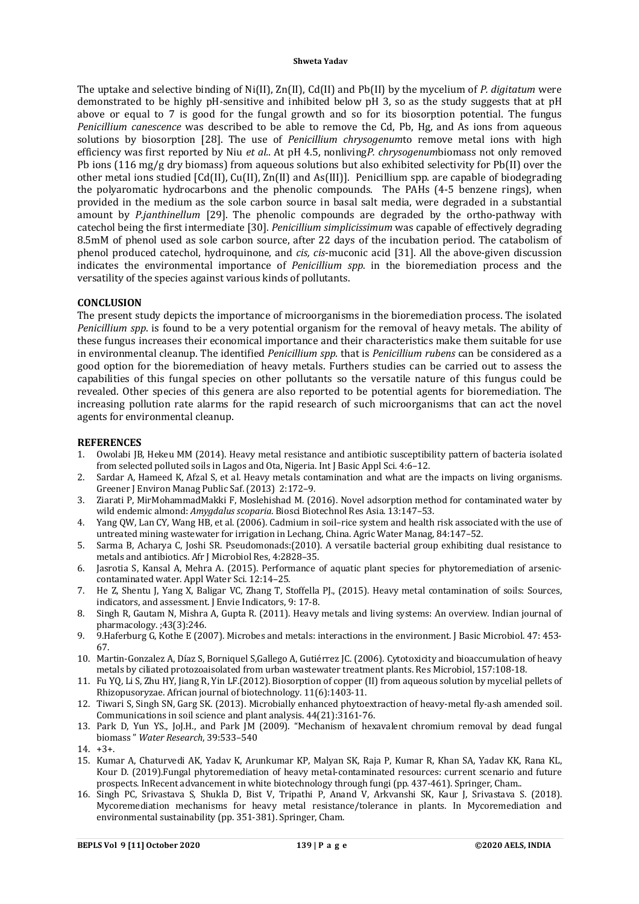The uptake and selective binding of Ni(II), Zn(II), Cd(II) and Pb(II) by the mycelium of *P. digitatum* were demonstrated to be highly pH-sensitive and inhibited below pH 3, so as the study suggests that at pH above or equal to 7 is good for the fungal growth and so for its biosorption potential. The fungus *Penicillium canescence* was described to be able to remove the Cd, Pb, Hg, and As ions from aqueous solutions by biosorption [28]. The use of *Penicillium chrysogenum*to remove metal ions with high efficiency was first reported by Niu *et al.*. At pH 4.5, nonliving*P. chrysogenum*biomass not only removed Pb ions (116 mg/g dry biomass) from aqueous solutions but also exhibited selectivity for Pb(II) over the other metal ions studied [Cd(II), Cu(II), Zn(II) and As(III)]. Penicillium spp. are capable of biodegrading the polyaromatic hydrocarbons and the phenolic compounds. The PAHs (4-5 benzene rings), when provided in the medium as the sole carbon source in basal salt media, were degraded in a substantial amount by *P.janthinellum* [29]. The phenolic compounds are degraded by the ortho-pathway with catechol being the first intermediate [30]. *Penicillium simplicissimum* was capable of effectively degrading 8.5mM of phenol used as sole carbon source, after 22 days of the incubation period. The catabolism of phenol produced catechol, hydroquinone, and *cis, cis*-muconic acid [31]. All the above-given discussion indicates the environmental importance of *Penicillium spp.* in the bioremediation process and the versatility of the species against various kinds of pollutants.

#### **CONCLUSION**

The present study depicts the importance of microorganisms in the bioremediation process. The isolated *Penicillium spp*. is found to be a very potential organism for the removal of heavy metals. The ability of these fungus increases their economical importance and their characteristics make them suitable for use in environmental cleanup. The identified *Penicillium spp.* that is *Penicillium rubens* can be considered as a good option for the bioremediation of heavy metals. Furthers studies can be carried out to assess the capabilities of this fungal species on other pollutants so the versatile nature of this fungus could be revealed. Other species of this genera are also reported to be potential agents for bioremediation. The increasing pollution rate alarms for the rapid research of such microorganisms that can act the novel agents for environmental cleanup.

#### **REFERENCES**

- 1. Owolabi JB, Hekeu MM (2014). Heavy metal resistance and antibiotic susceptibility pattern of bacteria isolated from selected polluted soils in Lagos and Ota, Nigeria. Int J Basic Appl Sci. 4:6–12.
- 2. Sardar A, Hameed K, Afzal S, et al. Heavy metals contamination and what are the impacts on living organisms. Greener J Environ Manag Public Saf.(2013) 2:172–9.
- 3. Ziarati P, MirMohammadMakki F, Moslehishad M. (2016). Novel adsorption method for contaminated water by wild endemic almond: *Amygdalus scoparia*. Biosci Biotechnol Res Asia. 13:147–53.
- 4. Yang QW, Lan CY, Wang HB, et al. (2006). Cadmium in soil–rice system and health risk associated with the use of untreated mining wastewater for irrigation in Lechang, China. Agric Water Manag, 84:147–52.
- 5. Sarma B, Acharya C, Joshi SR. Pseudomonads:(2010). A versatile bacterial group exhibiting dual resistance to metals and antibiotics. Afr J Microbiol Res, 4:2828–35.
- 6. Jasrotia S, Kansal A, Mehra A. (2015). Performance of aquatic plant species for phytoremediation of arseniccontaminated water. Appl Water Sci. 12:14–25.
- 7. He Z, Shentu J, Yang X, Baligar VC, Zhang T, Stoffella PJ., (2015). Heavy metal contamination of soils: Sources, indicators, and assessment. J Envie Indicators, 9: 17-8.
- 8. Singh R, Gautam N, Mishra A, Gupta R. (2011). Heavy metals and living systems: An overview. Indian journal of pharmacology. ;43(3):246.
- 9. 9.Haferburg G, Kothe E (2007). Microbes and metals: interactions in the environment. J Basic Microbiol. 47: 453- 67.
- 10. Martin-Gonzalez A, Díaz S, Borniquel S,Gallego A, Gutiérrez JC. (2006). Cytotoxicity and bioaccumulation of heavy metals by ciliated protozoaisolated from urban wastewater treatment plants. Res Microbiol, 157:108-18.
- 11. Fu YQ, Li S, Zhu HY, Jiang R, Yin LF.(2012). Biosorption of copper (II) from aqueous solution by mycelial pellets of Rhizopusoryzae. African journal of biotechnology. 11(6):1403-11.
- 12. Tiwari S, Singh SN, Garg SK. (2013). Microbially enhanced phytoextraction of heavy-metal fly-ash amended soil. Communications in soil science and plant analysis. 44(21):3161-76.
- 13. Park D, Yun YS., JoJ.H., and Park JM (2009). "Mechanism of hexavalent chromium removal by dead fungal biomass " *Water Research*, 39:533–540
- 14. +3+.
- 15. Kumar A, Chaturvedi AK, Yadav K, Arunkumar KP, Malyan SK, Raja P, Kumar R, Khan SA, Yadav KK, Rana KL, Kour D. (2019).Fungal phytoremediation of heavy metal-contaminated resources: current scenario and future prospects. InRecent advancement in white biotechnology through fungi (pp. 437-461). Springer, Cham..
- 16. Singh PC, Srivastava S, Shukla D, Bist V, Tripathi P, Anand V, Arkvanshi SK, Kaur J, Srivastava S. (2018). Mycoremediation mechanisms for heavy metal resistance/tolerance in plants. In Mycoremediation and environmental sustainability (pp. 351-381). Springer, Cham.